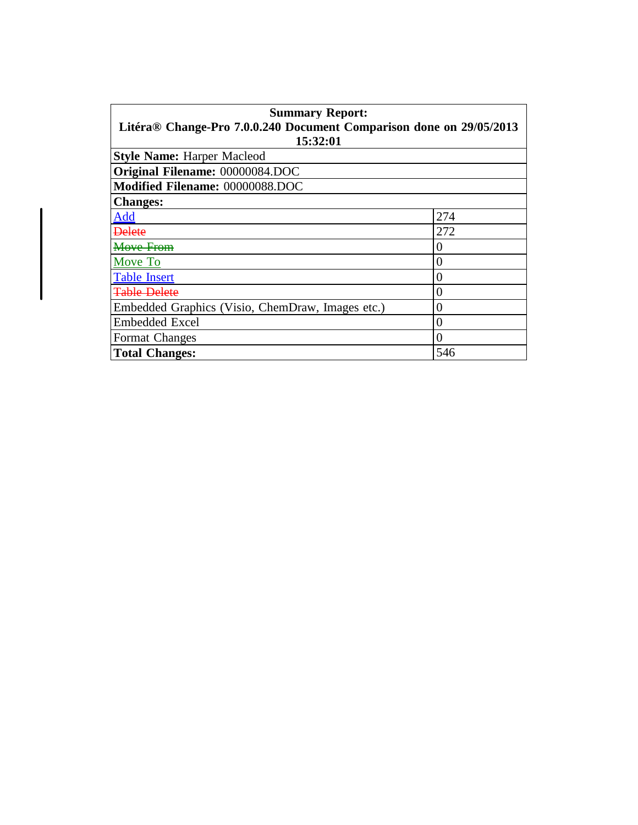| <b>Summary Report:</b>                                              |     |  |
|---------------------------------------------------------------------|-----|--|
| Litéra® Change-Pro 7.0.0.240 Document Comparison done on 29/05/2013 |     |  |
| 15:32:01                                                            |     |  |
| <b>Style Name: Harper Macleod</b>                                   |     |  |
| Original Filename: 00000084.DOC                                     |     |  |
| Modified Filename: 00000088.DOC                                     |     |  |
| <b>Changes:</b>                                                     |     |  |
| Add                                                                 | 274 |  |
| <del>Delete</del>                                                   | 272 |  |
| <del>Move From</del>                                                | U   |  |
| Move To                                                             | 0   |  |
| <b>Table Insert</b>                                                 | 0   |  |
| <del>Table Delete</del>                                             | 0   |  |
| Embedded Graphics (Visio, ChemDraw, Images etc.)                    | 0   |  |
| <b>Embedded Excel</b>                                               | 0   |  |
| <b>Format Changes</b>                                               | 0   |  |
| <b>Total Changes:</b>                                               | 546 |  |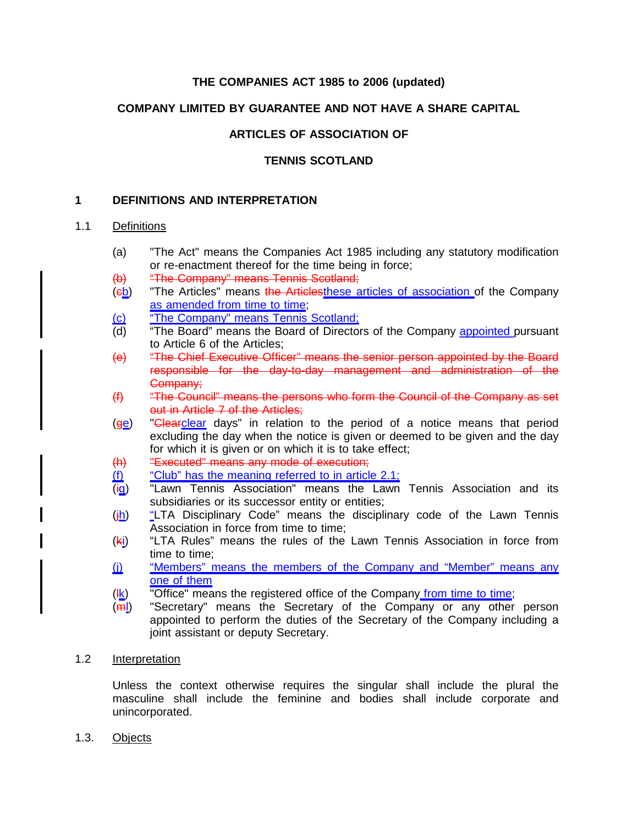# **THE COMPANIES ACT 1985 to 2006 (updated)**

# **COMPANY LIMITED BY GUARANTEE AND NOT HAVE A SHARE CAPITAL**

# **ARTICLES OF ASSOCIATION OF**

## **TENNIS SCOTLAND**

## **1 DEFINITIONS AND INTERPRETATION**

## 1.1 Definitions

- (a) "The Act" means the Companies Act 1985 including any statutory modification or re-enactment thereof for the time being in force;
- (b) "The Company" means Tennis Scotland;
- $(eb)$  "The Articles" means the Articlesthese articles of association of the Company as amended from time to time;
- (c) "The Company" means Tennis Scotland;
- (d) "The Board" means the Board of Directors of the Company appointed pursuant to Article 6 of the Articles;
- (e) "The Chief Executive Officer" means the senior person appointed by the Board responsible for the day-to-day management and administration of the Company;
- (f) "The Council" means the persons who form the Council of the Company as set out in Article 7 of the Articles:
- $(qe)$  "Clearclear days" in relation to the period of a notice means that period excluding the day when the notice is given or deemed to be given and the day for which it is given or on which it is to take effect;
- (h) "Executed" means any mode of execution;
- $\frac{f(t)}{f(t)}$  "Club" has the meaning referred to in article 2.1;<br> $\frac{f(t)}{f(t)}$  "Lawn Tennis Association" means the Lawn
- "Lawn Tennis Association" means the Lawn Tennis Association and its subsidiaries or its successor entity or entities;
- $(i)$  "LTA Disciplinary Code" means the disciplinary code of the Lawn Tennis Association in force from time to time;
- $(k<sub>i</sub>)$  "LTA Rules" means the rules of the Lawn Tennis Association in force from time to time;
- (i) "Members" means the members of the Company and "Member" means any one of them
- $(\frac{1}{k})$  "Office" means the registered office of the Company from time to time;
- (<del>m</del>)) "Secretary" means the Secretary of the Company or any other person appointed to perform the duties of the Secretary of the Company including a joint assistant or deputy Secretary.

#### 1.2 Interpretation

Unless the context otherwise requires the singular shall include the plural the masculine shall include the feminine and bodies shall include corporate and unincorporated.

1.3. Objects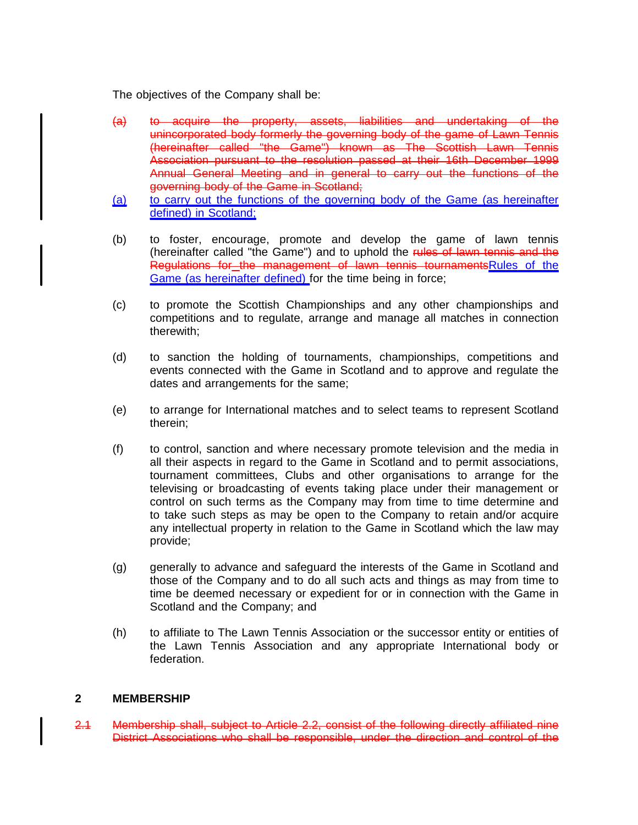The objectives of the Company shall be:

- (a) to acquire the property, assets, liabilities and undertaking of the unincorporated body formerly the governing body of the game of Lawn Tennis (hereinafter called "the Game") known as The Scottish Lawn Tennis Association pursuant to the resolution passed at their 16th December 1999 Annual General Meeting and in general to carry out the functions of the governing body of the Game in Scotland;
- (a) to carry out the functions of the governing body of the Game (as hereinafter defined) in Scotland;
- (b) to foster, encourage, promote and develop the game of lawn tennis (hereinafter called "the Game") and to uphold the rules of lawn tennis and the Regulations for the management of lawn tennis tournamentsRules of the Game (as hereinafter defined) for the time being in force;
- (c) to promote the Scottish Championships and any other championships and competitions and to regulate, arrange and manage all matches in connection therewith;
- (d) to sanction the holding of tournaments, championships, competitions and events connected with the Game in Scotland and to approve and regulate the dates and arrangements for the same;
- (e) to arrange for International matches and to select teams to represent Scotland therein;
- (f) to control, sanction and where necessary promote television and the media in all their aspects in regard to the Game in Scotland and to permit associations, tournament committees, Clubs and other organisations to arrange for the televising or broadcasting of events taking place under their management or control on such terms as the Company may from time to time determine and to take such steps as may be open to the Company to retain and/or acquire any intellectual property in relation to the Game in Scotland which the law may provide;
- (g) generally to advance and safeguard the interests of the Game in Scotland and those of the Company and to do all such acts and things as may from time to time be deemed necessary or expedient for or in connection with the Game in Scotland and the Company; and
- (h) to affiliate to The Lawn Tennis Association or the successor entity or entities of the Lawn Tennis Association and any appropriate International body or federation.

#### **2 MEMBERSHIP**

2.1 Membership shall, subject to Article 2.2, consist of the following directly affiliated nine District Associations who shall be responsible, under the direction and control of the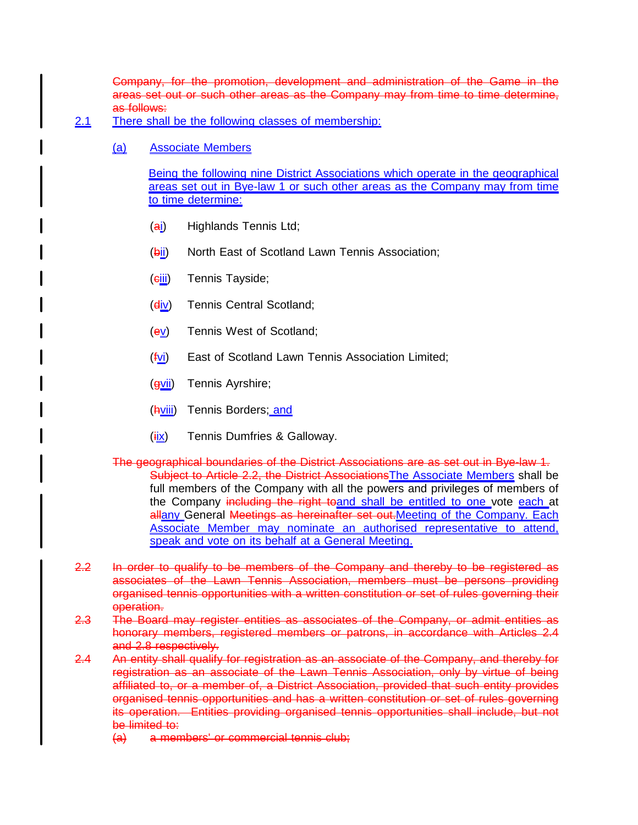Company, for the promotion, development and administration of the Game in the areas set out or such other areas as the Company may from time to time determine, as follows:

- 2.1 There shall be the following classes of membership:
	- (a) Associate Members

Being the following nine District Associations which operate in the geographical areas set out in Bye-law 1 or such other areas as the Company may from time to time determine:

- (ai) Highlands Tennis Ltd;
- (bii) North East of Scotland Lawn Tennis Association;
- (eiii) Tennis Tayside;
- (div) Tennis Central Scotland;
- $(ey)$  Tennis West of Scotland;
- $(fv)$  East of Scotland Lawn Tennis Association Limited;
- (gvii) Tennis Ayrshire;
- (hviii) Tennis Borders; and
- $(iix)$  Tennis Dumfries & Galloway.
- The geographical boundaries of the District Associations are as set out in Bye-law 1. Subject to Article 2.2, the District Associations The Associate Members shall be full members of the Company with all the powers and privileges of members of the Company including the right toand shall be entitled to one vote each at allany General Meetings as hereinafter set out. Meeting of the Company. Each Associate Member may nominate an authorised representative to attend, speak and vote on its behalf at a General Meeting.
- 2.2 In order to qualify to be members of the Company and thereby to be registered as associates of the Lawn Tennis Association, members must be persons providing organised tennis opportunities with a written constitution or set of rules governing their operation.
- 2.3 The Board may register entities as associates of the Company, or admit entities as honorary members, registered members or patrons, in accordance with Articles 2.4 and 2.8 respectively.
- 2.4 An entity shall qualify for registration as an associate of the Company, and thereby for registration as an associate of the Lawn Tennis Association, only by virtue of being affiliated to, or a member of, a District Association, provided that such entity provides organised tennis opportunities and has a written constitution or set of rules governing its operation. Entities providing organised tennis opportunities shall include, but not be limited to:
	- (a) a members' or commercial tennis club;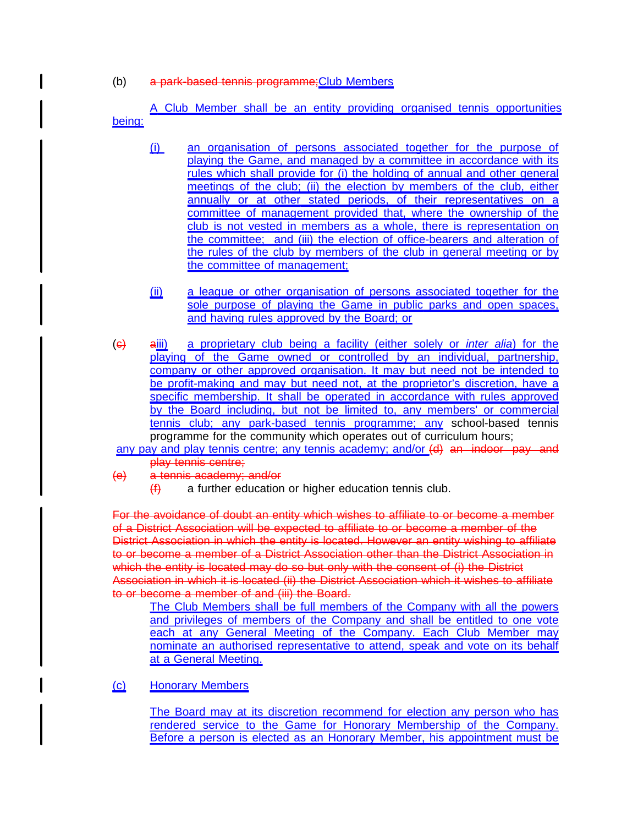(b) a park-based tennis programme;Club Members

A Club Member shall be an entity providing organised tennis opportunities being:

- (i) an organisation of persons associated together for the purpose of playing the Game, and managed by a committee in accordance with its rules which shall provide for (i) the holding of annual and other general meetings of the club; (ii) the election by members of the club, either annually or at other stated periods, of their representatives on a committee of management provided that, where the ownership of the club is not vested in members as a whole, there is representation on the committee; and (iii) the election of office-bearers and alteration of the rules of the club by members of the club in general meeting or by the committee of management;
- (ii) a league or other organisation of persons associated together for the sole purpose of playing the Game in public parks and open spaces, and having rules approved by the Board; or
- (c) aiii) a proprietary club being a facility (either solely or inter alia) for the playing of the Game owned or controlled by an individual, partnership, company or other approved organisation. It may but need not be intended to be profit-making and may but need not, at the proprietor's discretion, have a specific membership. It shall be operated in accordance with rules approved by the Board including, but not be limited to, any members' or commercial tennis club; any park-based tennis programme; any school-based tennis programme for the community which operates out of curriculum hours;
- any pay and play tennis centre; any tennis academy; and/or (d) an indoor pay and play tennis centre;
- (e) a tennis academy; and/or
	- $(f)$  a further education or higher education tennis club.

For the avoidance of doubt an entity which wishes to affiliate to or become a member of a District Association will be expected to affiliate to or become a member of the District Association in which the entity is located. However an entity wishing to affiliate to or become a member of a District Association other than the District Association in which the entity is located may do so but only with the consent of (i) the District Association in which it is located (ii) the District Association which it wishes to affiliate to or become a member of and (iii) the Board.

The Club Members shall be full members of the Company with all the powers and privileges of members of the Company and shall be entitled to one vote each at any General Meeting of the Company. Each Club Member may nominate an authorised representative to attend, speak and vote on its behalf at a General Meeting.

(c) Honorary Members

The Board may at its discretion recommend for election any person who has rendered service to the Game for Honorary Membership of the Company. Before a person is elected as an Honorary Member, his appointment must be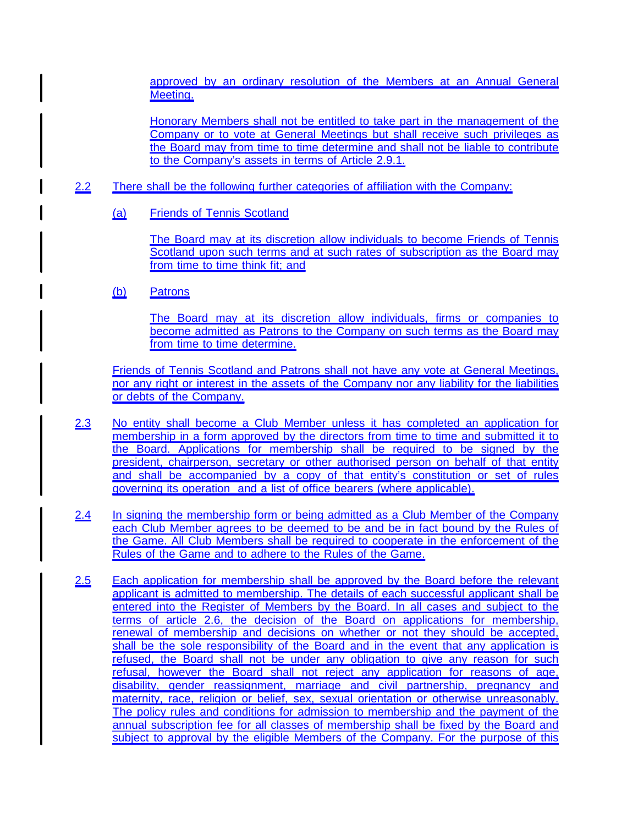approved by an ordinary resolution of the Members at an Annual General Meeting.

Honorary Members shall not be entitled to take part in the management of the Company or to vote at General Meetings but shall receive such privileges as the Board may from time to time determine and shall not be liable to contribute to the Company's assets in terms of Article 2.9.1.

- 2.2 There shall be the following further categories of affiliation with the Company:
	- (a) Friends of Tennis Scotland

The Board may at its discretion allow individuals to become Friends of Tennis Scotland upon such terms and at such rates of subscription as the Board may from time to time think fit; and

(b) Patrons

The Board may at its discretion allow individuals, firms or companies to become admitted as Patrons to the Company on such terms as the Board may from time to time determine.

Friends of Tennis Scotland and Patrons shall not have any vote at General Meetings, nor any right or interest in the assets of the Company nor any liability for the liabilities or debts of the Company.

- 2.3 No entity shall become a Club Member unless it has completed an application for membership in a form approved by the directors from time to time and submitted it to the Board. Applications for membership shall be required to be signed by the president, chairperson, secretary or other authorised person on behalf of that entity and shall be accompanied by a copy of that entity's constitution or set of rules governing its operation and a list of office bearers (where applicable).
- 2.4 In signing the membership form or being admitted as a Club Member of the Company each Club Member agrees to be deemed to be and be in fact bound by the Rules of the Game. All Club Members shall be required to cooperate in the enforcement of the Rules of the Game and to adhere to the Rules of the Game.
- 2.5 Each application for membership shall be approved by the Board before the relevant applicant is admitted to membership. The details of each successful applicant shall be entered into the Register of Members by the Board. In all cases and subject to the terms of article 2.6, the decision of the Board on applications for membership, renewal of membership and decisions on whether or not they should be accepted, shall be the sole responsibility of the Board and in the event that any application is refused, the Board shall not be under any obligation to give any reason for such refusal, however the Board shall not reject any application for reasons of age, disability, gender reassignment, marriage and civil partnership, pregnancy and maternity, race, religion or belief, sex, sexual orientation or otherwise unreasonably. The policy rules and conditions for admission to membership and the payment of the annual subscription fee for all classes of membership shall be fixed by the Board and subject to approval by the eligible Members of the Company. For the purpose of this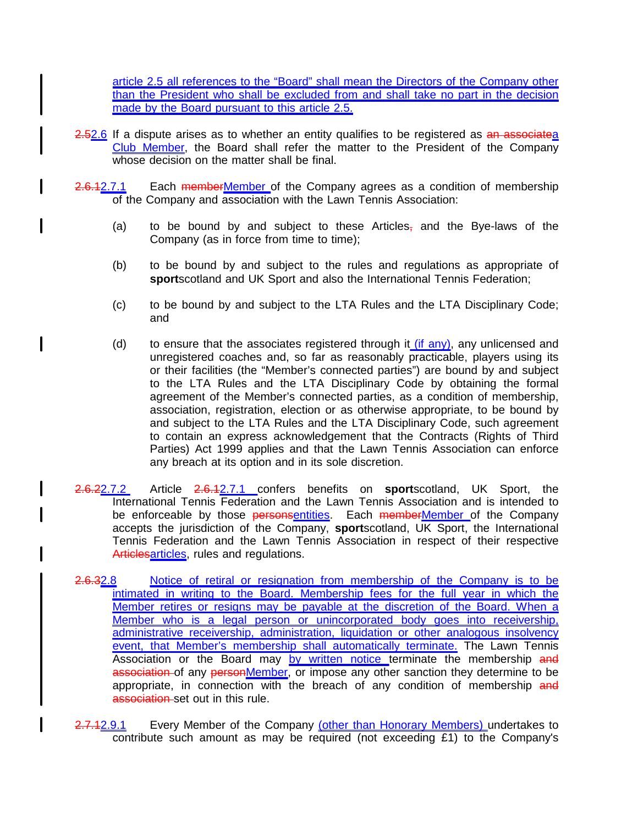article 2.5 all references to the "Board" shall mean the Directors of the Company other than the President who shall be excluded from and shall take no part in the decision made by the Board pursuant to this article 2.5.

- 2.52.6 If a dispute arises as to whether an entity qualifies to be registered as an associatea Club Member, the Board shall refer the matter to the President of the Company whose decision on the matter shall be final.
- 2.6.12.7.1 Each memberMember of the Company agrees as a condition of membership of the Company and association with the Lawn Tennis Association:
	- (a) to be bound by and subject to these Articles<sub> $<sub>7</sub>$ </sub> and the Bye-laws of the</sub> Company (as in force from time to time);
	- (b) to be bound by and subject to the rules and regulations as appropriate of **sport**scotland and UK Sport and also the International Tennis Federation;
	- (c) to be bound by and subject to the LTA Rules and the LTA Disciplinary Code; and
	- (d) to ensure that the associates registered through it  $(i\bar{f}$  any), any unlicensed and unregistered coaches and, so far as reasonably practicable, players using its or their facilities (the "Member's connected parties") are bound by and subject to the LTA Rules and the LTA Disciplinary Code by obtaining the formal agreement of the Member's connected parties, as a condition of membership, association, registration, election or as otherwise appropriate, to be bound by and subject to the LTA Rules and the LTA Disciplinary Code, such agreement to contain an express acknowledgement that the Contracts (Rights of Third Parties) Act 1999 applies and that the Lawn Tennis Association can enforce any breach at its option and in its sole discretion.
- 2.6.22.7.2 Article 2.6.12.7.1 confers benefits on **sport**scotland, UK Sport, the International Tennis Federation and the Lawn Tennis Association and is intended to be enforceable by those personsentities. Each memberMember of the Company accepts the jurisdiction of the Company, **sport**scotland, UK Sport, the International Tennis Federation and the Lawn Tennis Association in respect of their respective Articlesarticles, rules and regulations.
- 2.6.32.8 Notice of retiral or resignation from membership of the Company is to be intimated in writing to the Board. Membership fees for the full year in which the Member retires or resigns may be payable at the discretion of the Board. When a Member who is a legal person or unincorporated body goes into receivership, administrative receivership, administration, liquidation or other analogous insolvency event, that Member's membership shall automatically terminate. The Lawn Tennis Association or the Board may by written notice terminate the membership and association of any personMember, or impose any other sanction they determine to be appropriate, in connection with the breach of any condition of membership and association set out in this rule.
- 2.7.12.9.1 Every Member of the Company (other than Honorary Members) undertakes to contribute such amount as may be required (not exceeding £1) to the Company's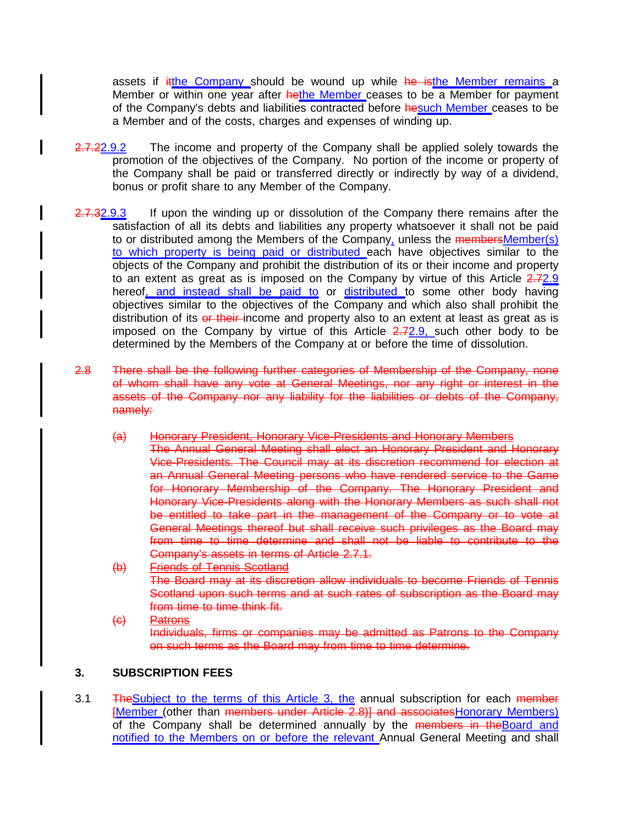assets if itthe Company should be wound up while he isthe Member remains a Member or within one year after hethe Member ceases to be a Member for payment of the Company's debts and liabilities contracted before hesuch Member ceases to be a Member and of the costs, charges and expenses of winding up.

- 2.7.22.9.2 The income and property of the Company shall be applied solely towards the promotion of the objectives of the Company. No portion of the income or property of the Company shall be paid or transferred directly or indirectly by way of a dividend, bonus or profit share to any Member of the Company.
- 2.7.32.9.3 If upon the winding up or dissolution of the Company there remains after the satisfaction of all its debts and liabilities any property whatsoever it shall not be paid to or distributed among the Members of the Company, unless the members Member(s) to which property is being paid or distributed each have objectives similar to the objects of the Company and prohibit the distribution of its or their income and property to an extent as great as is imposed on the Company by virtue of this Article  $2.72.9$ hereof, and instead shall be paid to or distributed to some other body having objectives similar to the objectives of the Company and which also shall prohibit the distribution of its or their-income and property also to an extent at least as great as is imposed on the Company by virtue of this Article  $2.72.9$ , such other body to be determined by the Members of the Company at or before the time of dissolution.
- 2.8 There shall be the following further categories of Membership of the Company, none of whom shall have any vote at General Meetings, nor any right or interest in the assets of the Company nor any liability for the liabilities or debts of the Company, namely:
	- (a) Honorary President, Honorary Vice-Presidents and Honorary Members The Annual General Meeting shall elect an Honorary President and Honorary Vice-Presidents. The Council may at its discretion recommend for election at an Annual General Meeting persons who have rendered service to the Game for Honorary Membership of the Company. The Honorary President and Honorary Vice-Presidents along with the Honorary Members as such shall not be entitled to take part in the management of the Company or to vote at General Meetings thereof but shall receive such privileges as the Board may from time to time determine and shall not be liable to contribute to the Company's assets in terms of Article 2.7.1.
	- (b) Friends of Tennis Scotland The Board may at its discretion allow individuals to become Friends of Tennis Scotland upon such terms and at such rates of subscription as the Board may from time to time think fit.
	- (c) Patrons Individuals, firms or companies may be admitted as Patrons to the Company on such terms as the Board may from time to time determine.

### **3. SUBSCRIPTION FEES**

3.1 The Subject to the terms of this Article 3, the annual subscription for each member [Member (other than members under Article 2.8)] and associatesHonorary Members) of the Company shall be determined annually by the members in the Board and notified to the Members on or before the relevant Annual General Meeting and shall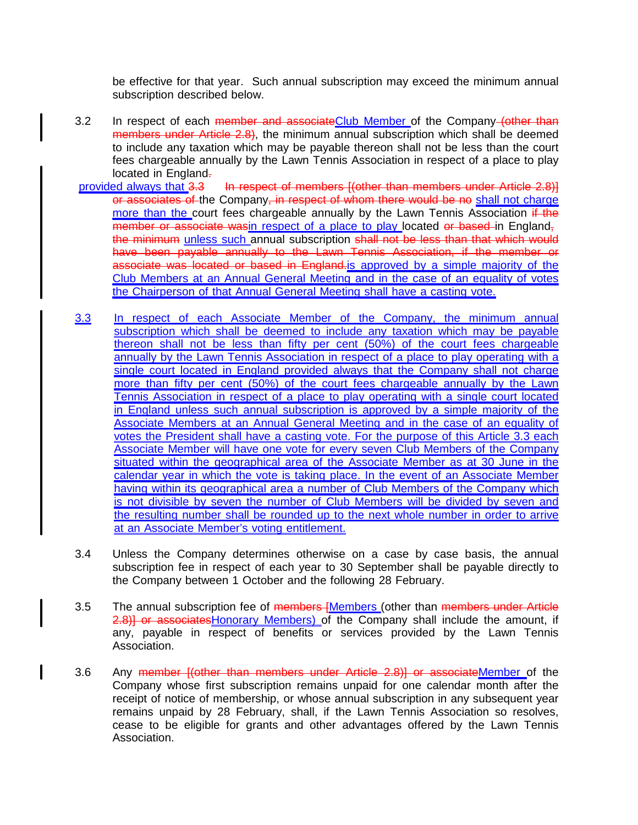be effective for that year. Such annual subscription may exceed the minimum annual subscription described below.

- 3.2 In respect of each member and associateClub Member of the Company (other than members under Article 2.8), the minimum annual subscription which shall be deemed to include any taxation which may be payable thereon shall not be less than the court fees chargeable annually by the Lawn Tennis Association in respect of a place to play located in England.
- provided always that 3.3 In respect of members [(other than members under Article 2.8)] or associates of the Company, in respect of whom there would be no shall not charge more than the court fees chargeable annually by the Lawn Tennis Association  $\frac{if - the}{if -}$ member or associate wasin respect of a place to play located or based in England, the minimum unless such annual subscription shall not be less than that which would have been payable annually to the Lawn Tennis Association, if the member or associate was located or based in England.is approved by a simple majority of the Club Members at an Annual General Meeting and in the case of an equality of votes the Chairperson of that Annual General Meeting shall have a casting vote.
- 3.3 In respect of each Associate Member of the Company, the minimum annual subscription which shall be deemed to include any taxation which may be payable thereon shall not be less than fifty per cent (50%) of the court fees chargeable annually by the Lawn Tennis Association in respect of a place to play operating with a single court located in England provided always that the Company shall not charge more than fifty per cent (50%) of the court fees chargeable annually by the Lawn Tennis Association in respect of a place to play operating with a single court located in England unless such annual subscription is approved by a simple majority of the Associate Members at an Annual General Meeting and in the case of an equality of votes the President shall have a casting vote. For the purpose of this Article 3.3 each Associate Member will have one vote for every seven Club Members of the Company situated within the geographical area of the Associate Member as at 30 June in the calendar year in which the vote is taking place. In the event of an Associate Member having within its geographical area a number of Club Members of the Company which is not divisible by seven the number of Club Members will be divided by seven and the resulting number shall be rounded up to the next whole number in order to arrive at an Associate Member's voting entitlement.
- 3.4 Unless the Company determines otherwise on a case by case basis, the annual subscription fee in respect of each year to 30 September shall be payable directly to the Company between 1 October and the following 28 February.
- 3.5 The annual subscription fee of members [Members (other than members under Article 2.8)] or associates Honorary Members) of the Company shall include the amount, if any, payable in respect of benefits or services provided by the Lawn Tennis Association.
- 3.6 Any member  $\frac{1}{1}$  (other than members under Article 2.8)) or associateMember of the Company whose first subscription remains unpaid for one calendar month after the receipt of notice of membership, or whose annual subscription in any subsequent year remains unpaid by 28 February, shall, if the Lawn Tennis Association so resolves, cease to be eligible for grants and other advantages offered by the Lawn Tennis Association.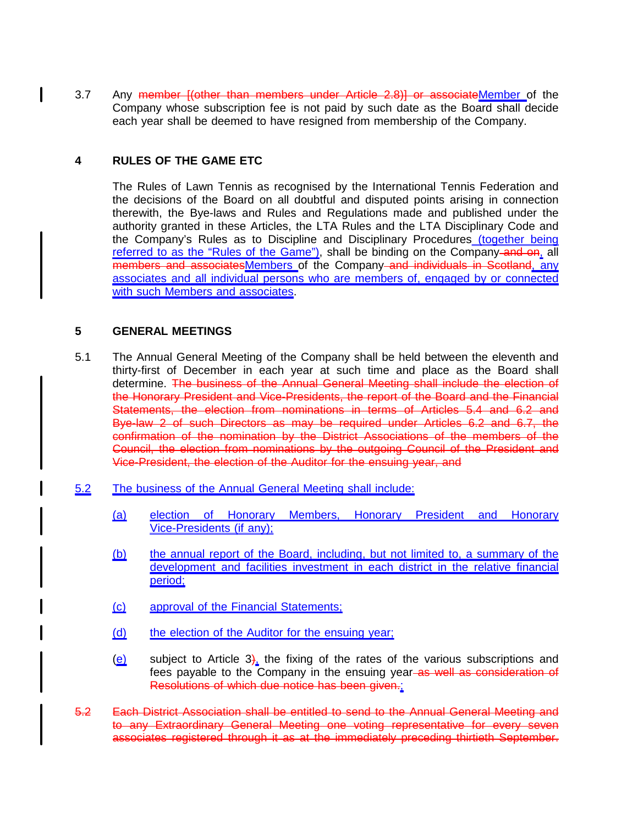3.7 Any member *[(other than members under Article 2.8)] or associateMember of the* Company whose subscription fee is not paid by such date as the Board shall decide each year shall be deemed to have resigned from membership of the Company.

## **4 RULES OF THE GAME ETC**

The Rules of Lawn Tennis as recognised by the International Tennis Federation and the decisions of the Board on all doubtful and disputed points arising in connection therewith, the Bye-laws and Rules and Regulations made and published under the authority granted in these Articles, the LTA Rules and the LTA Disciplinary Code and the Company's Rules as to Discipline and Disciplinary Procedures (together being referred to as the "Rules of the Game"), shall be binding on the Company-and on, all members and associatesMembers of the Company and individuals in Scotland, any associates and all individual persons who are members of, engaged by or connected with such Members and associates.

#### **5 GENERAL MEETINGS**

- 5.1 The Annual General Meeting of the Company shall be held between the eleventh and thirty-first of December in each year at such time and place as the Board shall determine. The business of the Annual General Meeting shall include the election of the Honorary President and Vice-Presidents, the report of the Board and the Financial Statements, the election from nominations in terms of Articles 5.4 and 6.2 and Bye-law 2 of such Directors as may be required under Articles 6.2 and 6.7, the confirmation of the nomination by the District Associations of the members of the Council, the election from nominations by the outgoing Council of the President and Vice-President, the election of the Auditor for the ensuing year, and
- 5.2 The business of the Annual General Meeting shall include:
	- (a) election of Honorary Members, Honorary President and Honorary Vice-Presidents (if any);
	- (b) the annual report of the Board, including, but not limited to, a summary of the development and facilities investment in each district in the relative financial period;
	- (c) approval of the Financial Statements;
	- (d) the election of the Auditor for the ensuing year;
	- $(e)$  subject to Article 3), the fixing of the rates of the various subscriptions and fees payable to the Company in the ensuing year as well as consideration of Resolutions of which due notice has been given.;
- 5.2 Each District Association shall be entitled to send to the Annual General Meeting and to any Extraordinary General Meeting one voting representative for every seven associates registered through it as at the immediately preceding thirtieth September.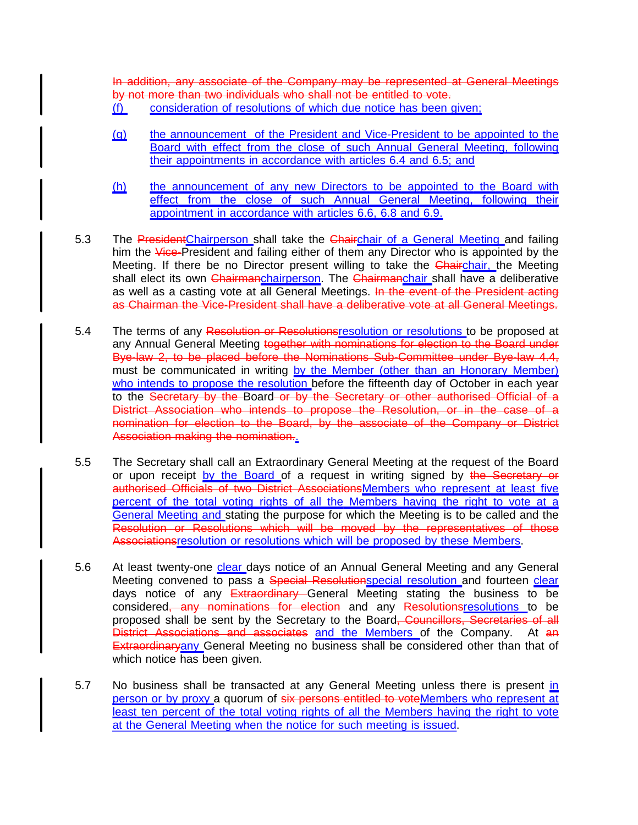In addition, any associate of the Company may be represented at General Meetings by not more than two individuals who shall not be entitled to vote.

- (f) consideration of resolutions of which due notice has been given;
- (g) the announcement of the President and Vice-President to be appointed to the Board with effect from the close of such Annual General Meeting, following their appointments in accordance with articles 6.4 and 6.5; and
- (h) the announcement of any new Directors to be appointed to the Board with effect from the close of such Annual General Meeting, following their appointment in accordance with articles 6.6, 6.8 and 6.9.
- 5.3 The President Chairperson shall take the Chairchair of a General Meeting and failing him the Vice-President and failing either of them any Director who is appointed by the Meeting. If there be no Director present willing to take the **Chairchair**, the Meeting shall elect its own Chairmanchairperson. The Chairmanchair shall have a deliberative as well as a casting vote at all General Meetings. In the event of the President acting as Chairman the Vice-President shall have a deliberative vote at all General Meetings.
- 5.4 The terms of any Resolution or Resolutionsresolution or resolutions to be proposed at any Annual General Meeting together with nominations for election to the Board under Bye-law 2, to be placed before the Nominations Sub-Committee under Bye-law 4.4, must be communicated in writing by the Member (other than an Honorary Member) who intends to propose the resolution before the fifteenth day of October in each year to the Secretary by the Board or by the Secretary or other authorised Official of a District Association who intends to propose the Resolution, or in the case of a nomination for election to the Board, by the associate of the Company or District Association making the nomination..
- 5.5 The Secretary shall call an Extraordinary General Meeting at the request of the Board or upon receipt by the Board of a request in writing signed by the Secretary or authorised Officials of two District AssociationsMembers who represent at least five percent of the total voting rights of all the Members having the right to vote at a General Meeting and stating the purpose for which the Meeting is to be called and the Resolution or Resolutions which will be moved by the representatives of those Associationsresolution or resolutions which will be proposed by these Members.
- 5.6 At least twenty-one clear days notice of an Annual General Meeting and any General Meeting convened to pass a Special Resolutionspecial resolution and fourteen clear days notice of any **Extraordinary** General Meeting stating the business to be considered<del>, any nominations for election</del> and any Resolutionsresolutions to be proposed shall be sent by the Secretary to the Board<del>, Councillors, Secretaries of all</del> District Associations and associates and the Members of the Company. At an **Extraordinaryany General Meeting no business shall be considered other than that of** which notice has been given.
- 5.7 No business shall be transacted at any General Meeting unless there is present in person or by proxy a quorum of six persons entitled to voteMembers who represent at least ten percent of the total voting rights of all the Members having the right to vote at the General Meeting when the notice for such meeting is issued.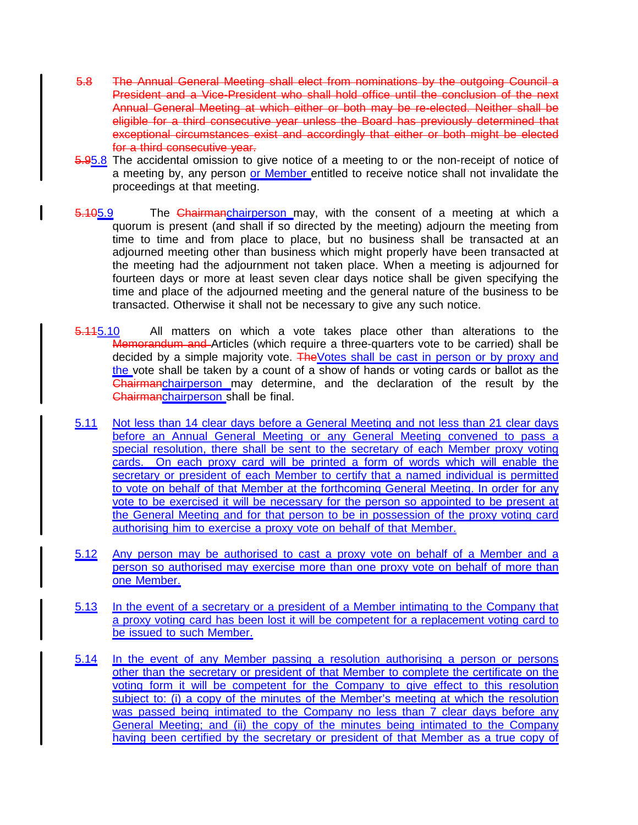- 5.8 The Annual General Meeting shall elect from nominations by the outgoing Council a President and a Vice-President who shall hold office until the conclusion of the next Annual General Meeting at which either or both may be re-elected. Neither shall be eligible for a third consecutive year unless the Board has previously determined that exceptional circumstances exist and accordingly that either or both might be elected for a third consecutive year.
- 5.95.8 The accidental omission to give notice of a meeting to or the non-receipt of notice of a meeting by, any person or Member entitled to receive notice shall not invalidate the proceedings at that meeting.
- 5.105.9 The Chairmanchairperson may, with the consent of a meeting at which a quorum is present (and shall if so directed by the meeting) adjourn the meeting from time to time and from place to place, but no business shall be transacted at an adjourned meeting other than business which might properly have been transacted at the meeting had the adjournment not taken place. When a meeting is adjourned for fourteen days or more at least seven clear days notice shall be given specifying the time and place of the adjourned meeting and the general nature of the business to be transacted. Otherwise it shall not be necessary to give any such notice.
- **5.115.10** All matters on which a vote takes place other than alterations to the Memorandum and Articles (which require a three-quarters vote to be carried) shall be decided by a simple majority vote. The Votes shall be cast in person or by proxy and the vote shall be taken by a count of a show of hands or voting cards or ballot as the Chairmanchairperson may determine, and the declaration of the result by the Chairmanchairperson shall be final.
- 5.11 Not less than 14 clear days before a General Meeting and not less than 21 clear days before an Annual General Meeting or any General Meeting convened to pass a special resolution, there shall be sent to the secretary of each Member proxy voting cards. On each proxy card will be printed a form of words which will enable the secretary or president of each Member to certify that a named individual is permitted to vote on behalf of that Member at the forthcoming General Meeting. In order for any vote to be exercised it will be necessary for the person so appointed to be present at the General Meeting and for that person to be in possession of the proxy voting card authorising him to exercise a proxy vote on behalf of that Member.
- 5.12 Any person may be authorised to cast a proxy vote on behalf of a Member and a person so authorised may exercise more than one proxy vote on behalf of more than one Member.
- 5.13 In the event of a secretary or a president of a Member intimating to the Company that a proxy voting card has been lost it will be competent for a replacement voting card to be issued to such Member.
- 5.14 In the event of any Member passing a resolution authorising a person or persons other than the secretary or president of that Member to complete the certificate on the voting form it will be competent for the Company to give effect to this resolution subject to: (i) a copy of the minutes of the Member's meeting at which the resolution was passed being intimated to the Company no less than 7 clear days before any General Meeting; and (ii) the copy of the minutes being intimated to the Company having been certified by the secretary or president of that Member as a true copy of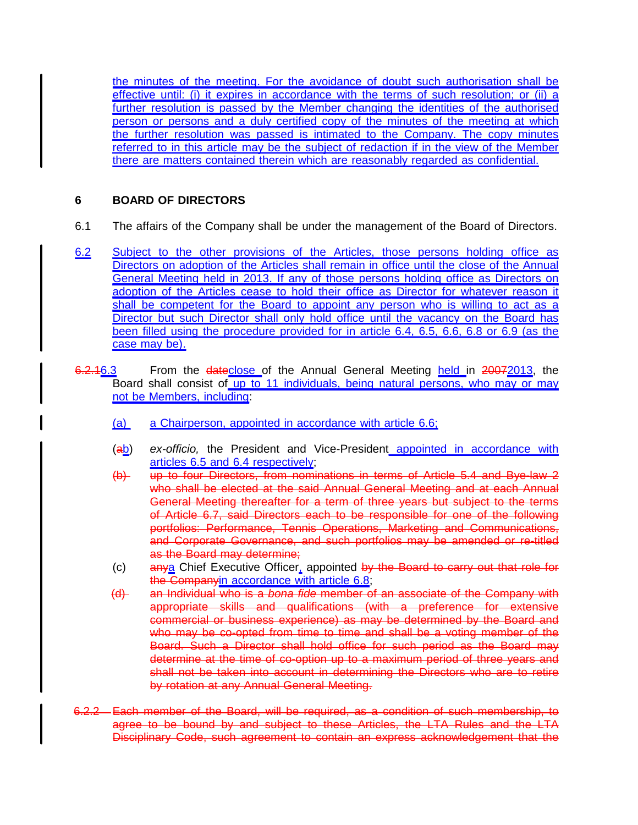the minutes of the meeting. For the avoidance of doubt such authorisation shall be effective until: (i) it expires in accordance with the terms of such resolution; or (ii) a further resolution is passed by the Member changing the identities of the authorised person or persons and a duly certified copy of the minutes of the meeting at which the further resolution was passed is intimated to the Company. The copy minutes referred to in this article may be the subject of redaction if in the view of the Member there are matters contained therein which are reasonably regarded as confidential.

# **6 BOARD OF DIRECTORS**

- 6.1 The affairs of the Company shall be under the management of the Board of Directors.
- 6.2 Subject to the other provisions of the Articles, those persons holding office as Directors on adoption of the Articles shall remain in office until the close of the Annual General Meeting held in 2013. If any of those persons holding office as Directors on adoption of the Articles cease to hold their office as Director for whatever reason it shall be competent for the Board to appoint any person who is willing to act as a Director but such Director shall only hold office until the vacancy on the Board has been filled using the procedure provided for in article 6.4, 6.5, 6.6, 6.8 or 6.9 (as the case may be).
- 6.2.16.3 From the dateclose of the Annual General Meeting held in 20072013, the Board shall consist of up to 11 individuals, being natural persons, who may or may not be Members, including:
	- (a) a Chairperson, appointed in accordance with article 6.6;
	- (ab) ex-officio, the President and Vice-President appointed in accordance with articles 6.5 and 6.4 respectively;
	- (b) up to four Directors, from nominations in terms of Article 5.4 and Bye-law 2 who shall be elected at the said Annual General Meeting and at each Annual General Meeting thereafter for a term of three years but subject to the terms of Article 6.7, said Directors each to be responsible for one of the following portfolios: Performance, Tennis Operations, Marketing and Communications, and Corporate Governance, and such portfolios may be amended or re-titled as the Board may determine;
	- (c) anya Chief Executive Officer, appointed by the Board to carry out that role for the Companyin accordance with article 6.8;
	- (d) an Individual who is a bona fide member of an associate of the Company with appropriate skills and qualifications (with a preference for extensive commercial or business experience) as may be determined by the Board and who may be co-opted from time to time and shall be a voting member of the Board. Such a Director shall hold office for such period as the Board may determine at the time of co-option up to a maximum period of three years and shall not be taken into account in determining the Directors who are to retire by rotation at any Annual General Meeting.
- 6.2.2 Each member of the Board, will be required, as a condition of such membership, to agree to be bound by and subject to these Articles, the LTA Rules and the LTA Disciplinary Code, such agreement to contain an express acknowledgement that the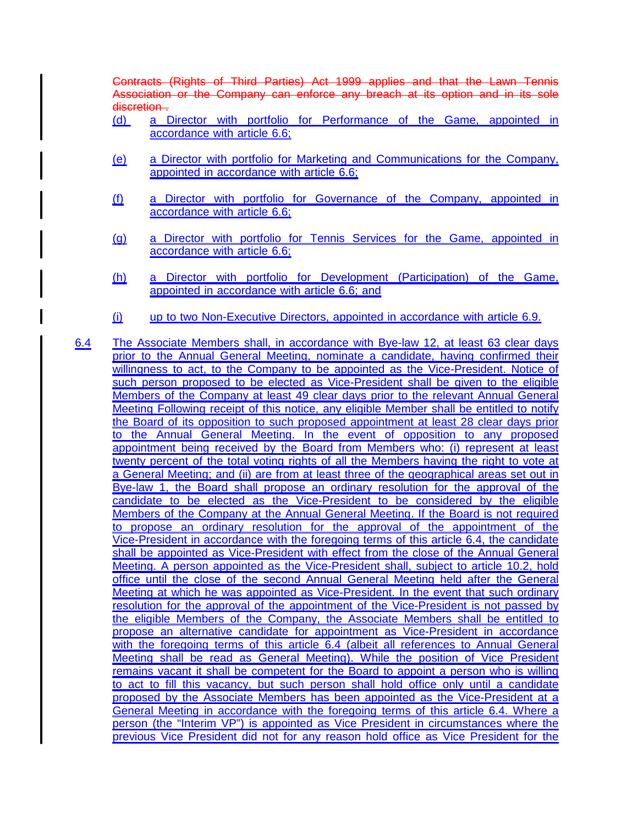Contracts (Rights of Third Parties) Act 1999 applies and that the Lawn Tennis Association or the Company can enforce any breach at its option and in its sole discretion.

- (d) a Director with portfolio for Performance of the Game, appointed in accordance with article 6.6;
- (e) a Director with portfolio for Marketing and Communications for the Company, appointed in accordance with article 6.6;
- (f) a Director with portfolio for Governance of the Company, appointed in accordance with article 6.6;
- (g) a Director with portfolio for Tennis Services for the Game, appointed in accordance with article 6.6;
- (h) a Director with portfolio for Development (Participation) of the Game, appointed in accordance with article 6.6; and
- (i) up to two Non-Executive Directors, appointed in accordance with article 6.9.
- 6.4 The Associate Members shall, in accordance with Bye-law 12, at least 63 clear days prior to the Annual General Meeting, nominate a candidate, having confirmed their willingness to act, to the Company to be appointed as the Vice-President. Notice of such person proposed to be elected as Vice-President shall be given to the eligible Members of the Company at least 49 clear days prior to the relevant Annual General Meeting Following receipt of this notice, any eligible Member shall be entitled to notify the Board of its opposition to such proposed appointment at least 28 clear days prior to the Annual General Meeting. In the event of opposition to any proposed appointment being received by the Board from Members who: (i) represent at least twenty percent of the total voting rights of all the Members having the right to vote at a General Meeting; and (ii) are from at least three of the geographical areas set out in Bye-law 1, the Board shall propose an ordinary resolution for the approval of the candidate to be elected as the Vice-President to be considered by the eligible Members of the Company at the Annual General Meeting. If the Board is not required to propose an ordinary resolution for the approval of the appointment of the Vice-President in accordance with the foregoing terms of this article 6.4, the candidate shall be appointed as Vice-President with effect from the close of the Annual General Meeting. A person appointed as the Vice-President shall, subject to article 10.2, hold office until the close of the second Annual General Meeting held after the General Meeting at which he was appointed as Vice-President. In the event that such ordinary resolution for the approval of the appointment of the Vice-President is not passed by the eligible Members of the Company, the Associate Members shall be entitled to propose an alternative candidate for appointment as Vice-President in accordance with the foregoing terms of this article 6.4 (albeit all references to Annual General Meeting shall be read as General Meeting). While the position of Vice President remains vacant it shall be competent for the Board to appoint a person who is willing to act to fill this vacancy, but such person shall hold office only until a candidate proposed by the Associate Members has been appointed as the Vice-President at a General Meeting in accordance with the foregoing terms of this article 6.4. Where a person (the "Interim VP") is appointed as Vice President in circumstances where the previous Vice President did not for any reason hold office as Vice President for the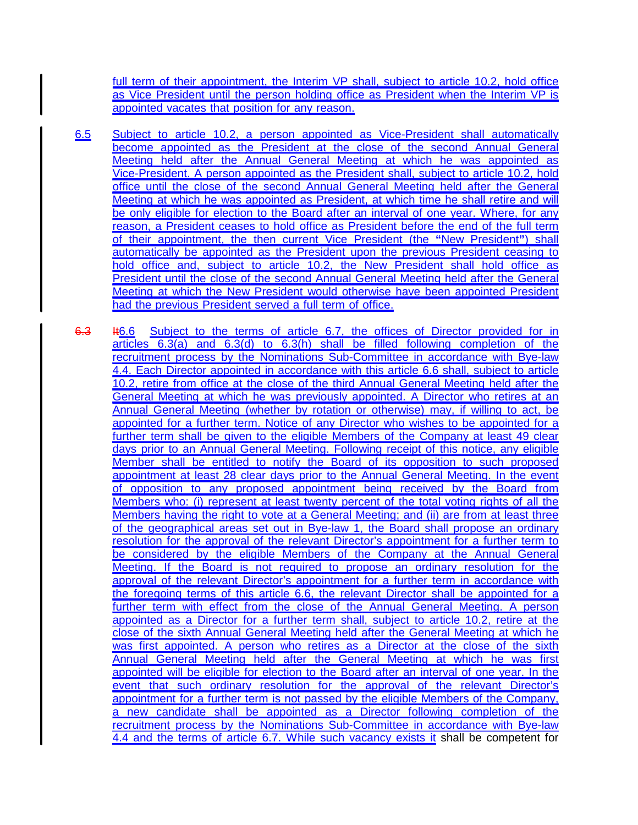full term of their appointment, the Interim VP shall, subject to article 10.2, hold office as Vice President until the person holding office as President when the Interim VP is appointed vacates that position for any reason.

- 6.5 Subject to article 10.2, a person appointed as Vice-President shall automatically become appointed as the President at the close of the second Annual General Meeting held after the Annual General Meeting at which he was appointed as Vice-President. A person appointed as the President shall, subject to article 10.2, hold office until the close of the second Annual General Meeting held after the General Meeting at which he was appointed as President, at which time he shall retire and will be only eligible for election to the Board after an interval of one year. Where, for any reason, a President ceases to hold office as President before the end of the full term of their appointment, the then current Vice President (the **"**New President**"**) shall automatically be appointed as the President upon the previous President ceasing to hold office and, subject to article 10.2, the New President shall hold office as President until the close of the second Annual General Meeting held after the General Meeting at which the New President would otherwise have been appointed President had the previous President served a full term of office.
- 6.3 It6.6 Subject to the terms of article 6.7, the offices of Director provided for in articles 6.3(a) and 6.3(d) to 6.3(h) shall be filled following completion of the recruitment process by the Nominations Sub-Committee in accordance with Bye-law 4.4. Each Director appointed in accordance with this article 6.6 shall, subject to article 10.2, retire from office at the close of the third Annual General Meeting held after the General Meeting at which he was previously appointed. A Director who retires at an Annual General Meeting (whether by rotation or otherwise) may, if willing to act, be appointed for a further term. Notice of any Director who wishes to be appointed for a further term shall be given to the eligible Members of the Company at least 49 clear days prior to an Annual General Meeting. Following receipt of this notice, any eligible Member shall be entitled to notify the Board of its opposition to such proposed appointment at least 28 clear days prior to the Annual General Meeting. In the event of opposition to any proposed appointment being received by the Board from Members who: (i) represent at least twenty percent of the total voting rights of all the Members having the right to vote at a General Meeting; and (ii) are from at least three of the geographical areas set out in Bye-law 1, the Board shall propose an ordinary resolution for the approval of the relevant Director's appointment for a further term to be considered by the eligible Members of the Company at the Annual General Meeting. If the Board is not required to propose an ordinary resolution for the approval of the relevant Director's appointment for a further term in accordance with the foregoing terms of this article 6.6, the relevant Director shall be appointed for a further term with effect from the close of the Annual General Meeting. A person appointed as a Director for a further term shall, subject to article 10.2, retire at the close of the sixth Annual General Meeting held after the General Meeting at which he was first appointed. A person who retires as a Director at the close of the sixth Annual General Meeting held after the General Meeting at which he was first appointed will be eligible for election to the Board after an interval of one year. In the event that such ordinary resolution for the approval of the relevant Director's appointment for a further term is not passed by the eligible Members of the Company, a new candidate shall be appointed as a Director following completion of the recruitment process by the Nominations Sub-Committee in accordance with Bye-law 4.4 and the terms of article 6.7. While such vacancy exists it shall be competent for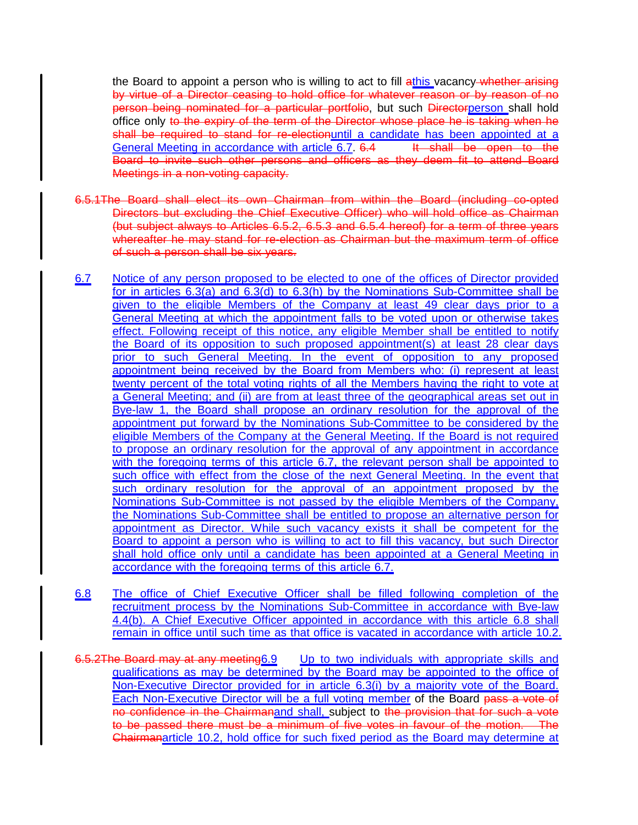the Board to appoint a person who is willing to act to fill athis vacancy whether arising by virtue of a Director ceasing to hold office for whatever reason or by reason of no person being nominated for a particular portfolio, but such Directorperson shall hold office only to the expiry of the term of the Director whose place he is taking when he shall be required to stand for re-electionuntil a candidate has been appointed at a General Meeting in accordance with article 6.7. 6.4 It shall be open to the Board to invite such other persons and officers as they deem fit to attend Board Meetings in a non-voting capacity.

- 6.5.1The Board shall elect its own Chairman from within the Board (including co-opted Directors but excluding the Chief Executive Officer) who will hold office as Chairman (but subject always to Articles 6.5.2, 6.5.3 and 6.5.4 hereof) for a term of three years whereafter he may stand for re-election as Chairman but the maximum term of office of such a person shall be six years.
- 6.7 Notice of any person proposed to be elected to one of the offices of Director provided for in articles 6.3(a) and 6.3(d) to 6.3(h) by the Nominations Sub-Committee shall be given to the eligible Members of the Company at least 49 clear days prior to a General Meeting at which the appointment falls to be voted upon or otherwise takes effect. Following receipt of this notice, any eligible Member shall be entitled to notify the Board of its opposition to such proposed appointment(s) at least 28 clear days prior to such General Meeting. In the event of opposition to any proposed appointment being received by the Board from Members who: (i) represent at least twenty percent of the total voting rights of all the Members having the right to vote at a General Meeting; and (ii) are from at least three of the geographical areas set out in Bye-law 1, the Board shall propose an ordinary resolution for the approval of the appointment put forward by the Nominations Sub-Committee to be considered by the eligible Members of the Company at the General Meeting. If the Board is not required to propose an ordinary resolution for the approval of any appointment in accordance with the foregoing terms of this article 6.7, the relevant person shall be appointed to such office with effect from the close of the next General Meeting. In the event that such ordinary resolution for the approval of an appointment proposed by the Nominations Sub-Committee is not passed by the eligible Members of the Company, the Nominations Sub-Committee shall be entitled to propose an alternative person for appointment as Director. While such vacancy exists it shall be competent for the Board to appoint a person who is willing to act to fill this vacancy, but such Director shall hold office only until a candidate has been appointed at a General Meeting in accordance with the foregoing terms of this article 6.7.
- 6.8 The office of Chief Executive Officer shall be filled following completion of the recruitment process by the Nominations Sub-Committee in accordance with Bye-law 4.4(b). A Chief Executive Officer appointed in accordance with this article 6.8 shall remain in office until such time as that office is vacated in accordance with article 10.2.
- 6.5.2The Board may at any meeting6.9 Up to two individuals with appropriate skills and qualifications as may be determined by the Board may be appointed to the office of Non-Executive Director provided for in article 6.3(i) by a majority vote of the Board. Each Non-Executive Director will be a full voting member of the Board pass a vote of no confidence in the Chairmanand shall, subject to the provision that for such a vote to be passed there must be a minimum of five votes in favour of the motion. The Chairmanarticle 10.2, hold office for such fixed period as the Board may determine at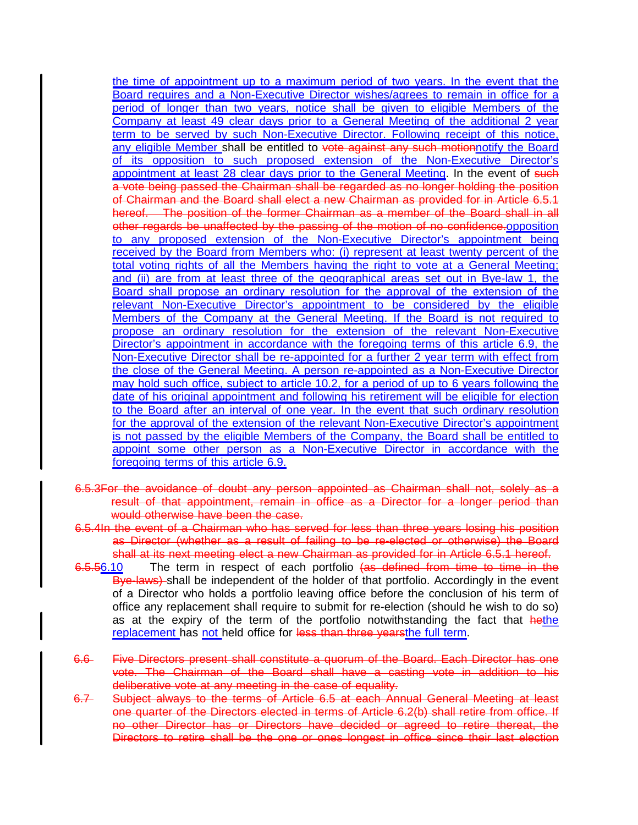the time of appointment up to a maximum period of two years. In the event that the Board requires and a Non-Executive Director wishes/agrees to remain in office for a period of longer than two years, notice shall be given to eligible Members of the Company at least 49 clear days prior to a General Meeting of the additional 2 year term to be served by such Non-Executive Director. Following receipt of this notice, any eligible Member shall be entitled to vote against any such motionnotify the Board of its opposition to such proposed extension of the Non-Executive Director's appointment at least 28 clear days prior to the General Meeting. In the event of such a vote being passed the Chairman shall be regarded as no longer holding the position of Chairman and the Board shall elect a new Chairman as provided for in Article 6.5.1 hereof. The position of the former Chairman as a member of the Board shall in all other regards be unaffected by the passing of the motion of no confidence.opposition to any proposed extension of the Non-Executive Director's appointment being received by the Board from Members who: (i) represent at least twenty percent of the total voting rights of all the Members having the right to vote at a General Meeting; and (ii) are from at least three of the geographical areas set out in Bye-law 1, the Board shall propose an ordinary resolution for the approval of the extension of the relevant Non-Executive Director's appointment to be considered by the eligible Members of the Company at the General Meeting. If the Board is not required to propose an ordinary resolution for the extension of the relevant Non-Executive Director's appointment in accordance with the foregoing terms of this article 6.9, the Non-Executive Director shall be re-appointed for a further 2 year term with effect from the close of the General Meeting. A person re-appointed as a Non-Executive Director may hold such office, subject to article 10.2, for a period of up to 6 years following the date of his original appointment and following his retirement will be eligible for election to the Board after an interval of one year. In the event that such ordinary resolution for the approval of the extension of the relevant Non-Executive Director's appointment is not passed by the eligible Members of the Company, the Board shall be entitled to appoint some other person as a Non-Executive Director in accordance with the foregoing terms of this article 6.9.

- 6.5.3For the avoidance of doubt any person appointed as Chairman shall not, solely as a result of that appointment, remain in office as a Director for a longer period than would otherwise have been the case.
- 6.5.4In the event of a Chairman who has served for less than three years losing his position as Director (whether as a result of failing to be re-elected or otherwise) the Board shall at its next meeting elect a new Chairman as provided for in Article 6.5.1 hereof.
- 6.5.56.10 The term in respect of each portfolio (as defined from time to time in the Bye-laws) shall be independent of the holder of that portfolio. Accordingly in the event of a Director who holds a portfolio leaving office before the conclusion of his term of office any replacement shall require to submit for re-election (should he wish to do so) as at the expiry of the term of the portfolio notwithstanding the fact that hethe replacement has not held office for less than three yearsthe full term.
- 6.6 Five Directors present shall constitute a quorum of the Board. Each Director has one vote. The Chairman of the Board shall have a casting vote in addition to his deliberative vote at any meeting in the case of equality.
- 6.7 Subject always to the terms of Article 6.5 at each Annual General Meeting at least one quarter of the Directors elected in terms of Article 6.2(b) shall retire from office. If no other Director has or Directors have decided or agreed to retire thereat, the Directors to retire shall be the one or ones longest in office since their last election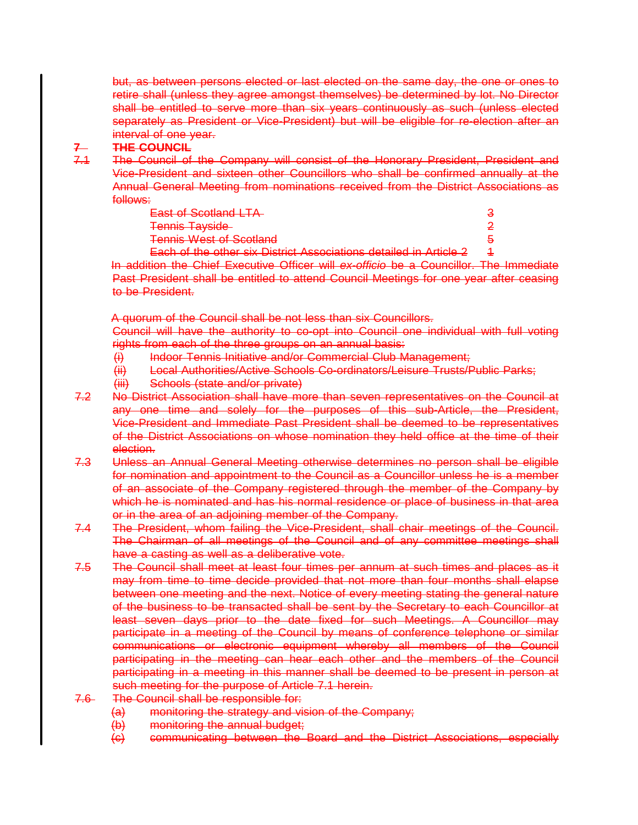but, as between persons elected or last elected on the same day, the one or ones to retire shall (unless they agree amongst themselves) be determined by lot. No Director shall be entitled to serve more than six years continuously as such (unless elected separately as President or Vice-President) but will be eligible for re-election after an interval of one year.

# **7 THE COUNCIL**<br> **7.4** The Council of

The Council of the Company will consist of the Honorary President, President and Vice-President and sixteen other Councillors who shall be confirmed annually at the Annual General Meeting from nominations received from the District Associations as follows:

| <b>East of Scotland LTA</b>                                                                                                                       |  |
|---------------------------------------------------------------------------------------------------------------------------------------------------|--|
| <b>Tennis Tayside</b>                                                                                                                             |  |
| <b>Tennis West of Scotland</b>                                                                                                                    |  |
| Each of the other six District Associations detailed in Article 2<br><del>Latif of the other six platful Associations detailed in Article 2</del> |  |

In addition the Chief Executive Officer will ex-officio be a Councillor. The Immediate Past President shall be entitled to attend Council Meetings for one year after ceasing to be President.

A quorum of the Council shall be not less than six Councillors.

Council will have the authority to co-opt into Council one individual with full voting rights from each of the three groups on an annual basis:

- (i) Indoor Tennis Initiative and/or Commercial Club Management;
- (ii) Local Authorities/Active Schools Co-ordinators/Leisure Trusts/Public Parks;
- (iii) Schools (state and/or private)
- 7.2 No District Association shall have more than seven representatives on the Council at any one time and solely for the purposes of this sub-Article, the President, Vice-President and Immediate Past President shall be deemed to be representatives of the District Associations on whose nomination they held office at the time of their election.
- 7.3 Unless an Annual General Meeting otherwise determines no person shall be eligible for nomination and appointment to the Council as a Councillor unless he is a member of an associate of the Company registered through the member of the Company by which he is nominated and has his normal residence or place of business in that area or in the area of an adjoining member of the Company.
- 7.4 The President, whom failing the Vice-President, shall chair meetings of the Council. The Chairman of all meetings of the Council and of any committee meetings shall have a casting as well as a deliberative vote.
- 7.5 The Council shall meet at least four times per annum at such times and places as it may from time to time decide provided that not more than four months shall elapse between one meeting and the next. Notice of every meeting stating the general nature of the business to be transacted shall be sent by the Secretary to each Councillor at least seven days prior to the date fixed for such Meetings. A Councillor may participate in a meeting of the Council by means of conference telephone or similar communications or electronic equipment whereby all members of the Council participating in the meeting can hear each other and the members of the Council participating in a meeting in this manner shall be deemed to be present in person at such meeting for the purpose of Article 7.1 herein.
- 7.6 The Council shall be responsible for:
	- (a) monitoring the strategy and vision of the Company;
	- (b) monitoring the annual budget;
	- (c) communicating between the Board and the District Associations, especially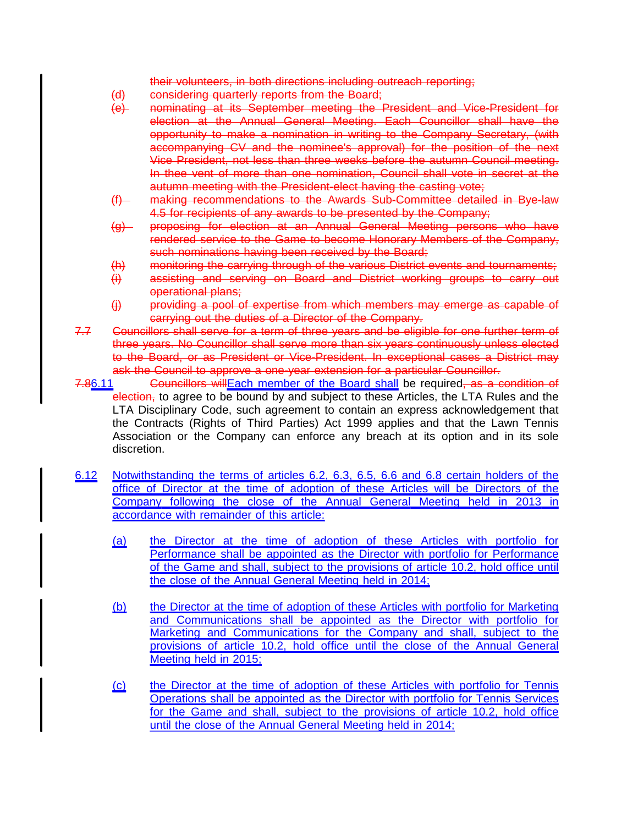their volunteers, in both directions including outreach reporting;

- (d) considering quarterly reports from the Board;
- (e) nominating at its September meeting the President and Vice-President for election at the Annual General Meeting. Each Councillor shall have the opportunity to make a nomination in writing to the Company Secretary, (with accompanying CV and the nominee's approval) for the position of the next Vice President, not less than three weeks before the autumn Council meeting. In thee vent of more than one nomination, Council shall vote in secret at the autumn meeting with the President-elect having the casting vote;
- (f) making recommendations to the Awards Sub-Committee detailed in Bye-law 4.5 for recipients of any awards to be presented by the Company;
- (g) proposing for election at an Annual General Meeting persons who have rendered service to the Game to become Honorary Members of the Company, such nominations having been received by the Board;
- (h) monitoring the carrying through of the various District events and tournaments;
- (i) assisting and serving on Board and District working groups to carry out operational plans;
- (j) providing a pool of expertise from which members may emerge as capable of carrying out the duties of a Director of the Company.
- 7.7 Councillors shall serve for a term of three years and be eligible for one further term of three years. No Councillor shall serve more than six years continuously unless elected to the Board, or as President or Vice-President. In exceptional cases a District may ask the Council to approve a one-year extension for a particular Councillor.
- 7.86.11 **Councillors will** Each member of the Board shall be required, as a condition of election, to agree to be bound by and subject to these Articles, the LTA Rules and the LTA Disciplinary Code, such agreement to contain an express acknowledgement that the Contracts (Rights of Third Parties) Act 1999 applies and that the Lawn Tennis Association or the Company can enforce any breach at its option and in its sole discretion.
- 6.12 Notwithstanding the terms of articles 6.2, 6.3, 6.5, 6.6 and 6.8 certain holders of the office of Director at the time of adoption of these Articles will be Directors of the Company following the close of the Annual General Meeting held in 2013 in accordance with remainder of this article:
	- (a) the Director at the time of adoption of these Articles with portfolio for Performance shall be appointed as the Director with portfolio for Performance of the Game and shall, subject to the provisions of article 10.2, hold office until the close of the Annual General Meeting held in 2014;
	- (b) the Director at the time of adoption of these Articles with portfolio for Marketing and Communications shall be appointed as the Director with portfolio for Marketing and Communications for the Company and shall, subject to the provisions of article 10.2, hold office until the close of the Annual General Meeting held in 2015;
	- (c) the Director at the time of adoption of these Articles with portfolio for Tennis Operations shall be appointed as the Director with portfolio for Tennis Services for the Game and shall, subject to the provisions of article 10.2, hold office until the close of the Annual General Meeting held in 2014;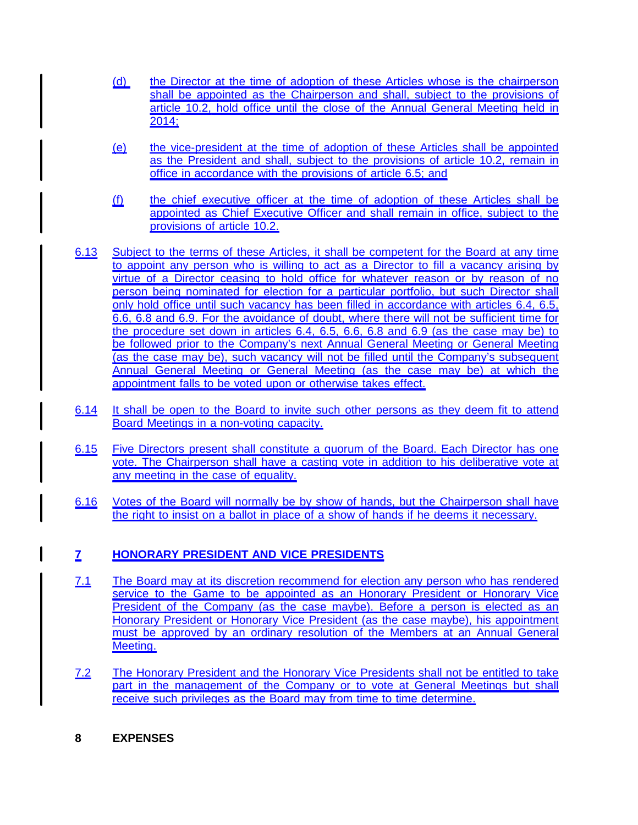- (d) the Director at the time of adoption of these Articles whose is the chairperson shall be appointed as the Chairperson and shall, subject to the provisions of article 10.2, hold office until the close of the Annual General Meeting held in 2014;
- (e) the vice-president at the time of adoption of these Articles shall be appointed as the President and shall, subject to the provisions of article 10.2, remain in office in accordance with the provisions of article 6.5; and
- (f) the chief executive officer at the time of adoption of these Articles shall be appointed as Chief Executive Officer and shall remain in office, subject to the provisions of article 10.2.
- 6.13 Subject to the terms of these Articles, it shall be competent for the Board at any time to appoint any person who is willing to act as a Director to fill a vacancy arising by virtue of a Director ceasing to hold office for whatever reason or by reason of no person being nominated for election for a particular portfolio, but such Director shall only hold office until such vacancy has been filled in accordance with articles 6.4, 6.5, 6.6, 6.8 and 6.9. For the avoidance of doubt, where there will not be sufficient time for the procedure set down in articles 6.4, 6.5, 6.6, 6.8 and 6.9 (as the case may be) to be followed prior to the Company's next Annual General Meeting or General Meeting (as the case may be), such vacancy will not be filled until the Company's subsequent Annual General Meeting or General Meeting (as the case may be) at which the appointment falls to be voted upon or otherwise takes effect.
- 6.14 It shall be open to the Board to invite such other persons as they deem fit to attend Board Meetings in a non-voting capacity.
- 6.15 Five Directors present shall constitute a quorum of the Board. Each Director has one vote. The Chairperson shall have a casting vote in addition to his deliberative vote at any meeting in the case of equality.
- 6.16 Votes of the Board will normally be by show of hands, but the Chairperson shall have the right to insist on a ballot in place of a show of hands if he deems it necessary.

# **7 HONORARY PRESIDENT AND VICE PRESIDENTS**

- 7.1 The Board may at its discretion recommend for election any person who has rendered service to the Game to be appointed as an Honorary President or Honorary Vice President of the Company (as the case maybe). Before a person is elected as an Honorary President or Honorary Vice President (as the case maybe), his appointment must be approved by an ordinary resolution of the Members at an Annual General Meeting.
- 7.2 The Honorary President and the Honorary Vice Presidents shall not be entitled to take part in the management of the Company or to vote at General Meetings but shall receive such privileges as the Board may from time to time determine.
- **8 EXPENSES**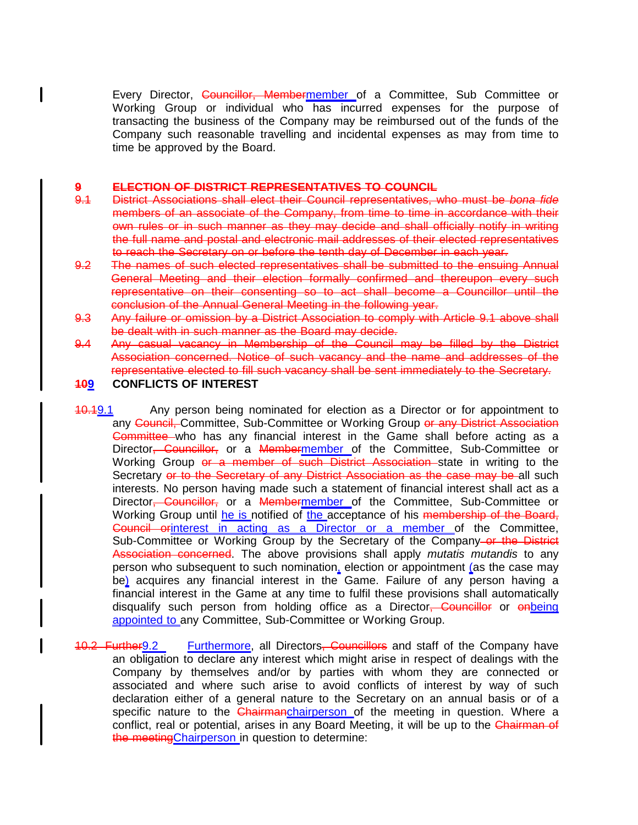Every Director, Councillor, Membermember of a Committee, Sub Committee or Working Group or individual who has incurred expenses for the purpose of transacting the business of the Company may be reimbursed out of the funds of the Company such reasonable travelling and incidental expenses as may from time to time be approved by the Board.

#### **9 ELECTION OF DISTRICT REPRESENTATIVES TO COUNCIL**

- 9.1 District Associations shall elect their Council representatives, who must be bona fide members of an associate of the Company, from time to time in accordance with their own rules or in such manner as they may decide and shall officially notify in writing the full name and postal and electronic mail addresses of their elected representatives to reach the Secretary on or before the tenth day of December in each year.
- 9.2 The names of such elected representatives shall be submitted to the ensuing Annual General Meeting and their election formally confirmed and thereupon every such representative on their consenting so to act shall become a Councillor until the conclusion of the Annual General Meeting in the following year.
- 9.3 Any failure or omission by a District Association to comply with Article 9.1 above shall be dealt with in such manner as the Board may decide.
- 9.4 Any casual vacancy in Membership of the Council may be filled by the District Association concerned. Notice of such vacancy and the name and addresses of the representative elected to fill such vacancy shall be sent immediately to the Secretary.

#### **109 CONFLICTS OF INTEREST**

- 10.19.1 Any person being nominated for election as a Director or for appointment to any Council, Committee, Sub-Committee or Working Group or any District Association Committee who has any financial interest in the Game shall before acting as a Director<del>, Councillor,</del> or a **Membermember** of the Committee, Sub-Committee or Working Group or a member of such District Association state in writing to the Secretary or to the Secretary of any District Association as the case may be all such interests. No person having made such a statement of financial interest shall act as a Director, Councillor, or a Membermember of the Committee, Sub-Committee or Working Group until he is notified of the acceptance of his membership of the Board, Council orinterest in acting as a Director or a member of the Committee, Sub-Committee or Working Group by the Secretary of the Company-or the District Association concerned. The above provisions shall apply mutatis mutandis to any person who subsequent to such nomination, election or appointment (as the case may be) acquires any financial interest in the Game. Failure of any person having a financial interest in the Game at any time to fulfil these provisions shall automatically disqualify such person from holding office as a Director, Councillor or onbeing appointed to any Committee, Sub-Committee or Working Group.
- 10.2 Further 9.2 Furthermore, all Directors, Councillors and staff of the Company have an obligation to declare any interest which might arise in respect of dealings with the Company by themselves and/or by parties with whom they are connected or associated and where such arise to avoid conflicts of interest by way of such declaration either of a general nature to the Secretary on an annual basis or of a specific nature to the Chairmanchairperson of the meeting in question. Where a conflict, real or potential, arises in any Board Meeting, it will be up to the Chairman of the meeting Chairperson in question to determine: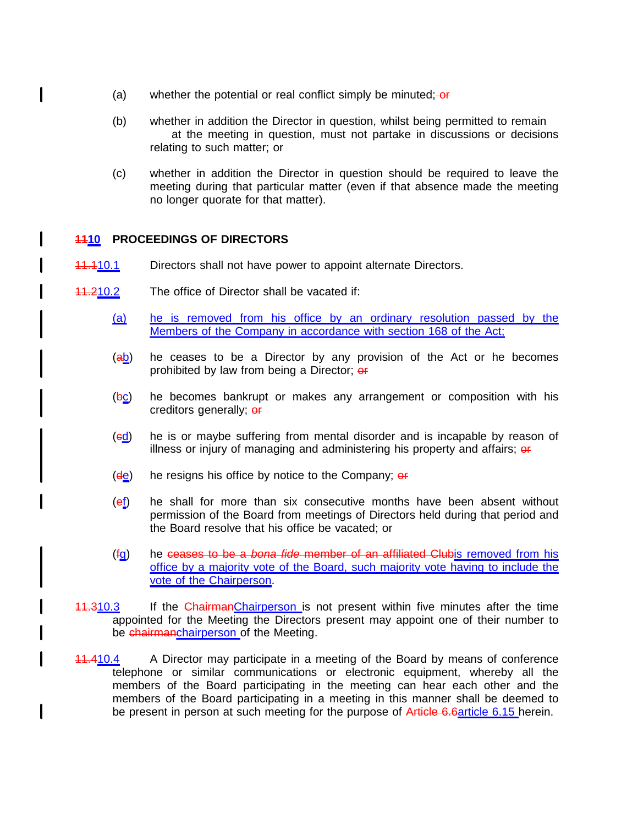- (a) whether the potential or real conflict simply be minuted;  $\overline{or}$
- (b) whether in addition the Director in question, whilst being permitted to remain at the meeting in question, must not partake in discussions or decisions relating to such matter; or
- (c) whether in addition the Director in question should be required to leave the meeting during that particular matter (even if that absence made the meeting no longer quorate for that matter).

#### **1110 PROCEEDINGS OF DIRECTORS**

- 11.110.1 Directors shall not have power to appoint alternate Directors.
- 11.210.2 The office of Director shall be vacated if:
	- (a) he is removed from his office by an ordinary resolution passed by the Members of the Company in accordance with section 168 of the Act;
	- $(a<sub>b</sub>)$  he ceases to be a Director by any provision of the Act or he becomes prohibited by law from being a Director; or
	- $(bc)$  he becomes bankrupt or makes any arrangement or composition with his creditors generally; or
	- (cd) he is or maybe suffering from mental disorder and is incapable by reason of illness or injury of managing and administering his property and affairs;  $\theta$
	- $(d_{\frac{1}{2}})$  he resigns his office by notice to the Company;  $\frac{d}{dx}$
	- $(ef)$  he shall for more than six consecutive months have been absent without permission of the Board from meetings of Directors held during that period and the Board resolve that his office be vacated; or
	- $(f<sub>Q</sub>)$  he ceases to be a bona fide member of an affiliated Clubis removed from his office by a majority vote of the Board, such majority vote having to include the vote of the Chairperson.
- 11.310.3 If the ChairmanChairperson is not present within five minutes after the time appointed for the Meeting the Directors present may appoint one of their number to be chairmanchairperson of the Meeting.
- 11.410.4 A Director may participate in a meeting of the Board by means of conference telephone or similar communications or electronic equipment, whereby all the members of the Board participating in the meeting can hear each other and the members of the Board participating in a meeting in this manner shall be deemed to be present in person at such meeting for the purpose of Article 6.6article 6.15 herein.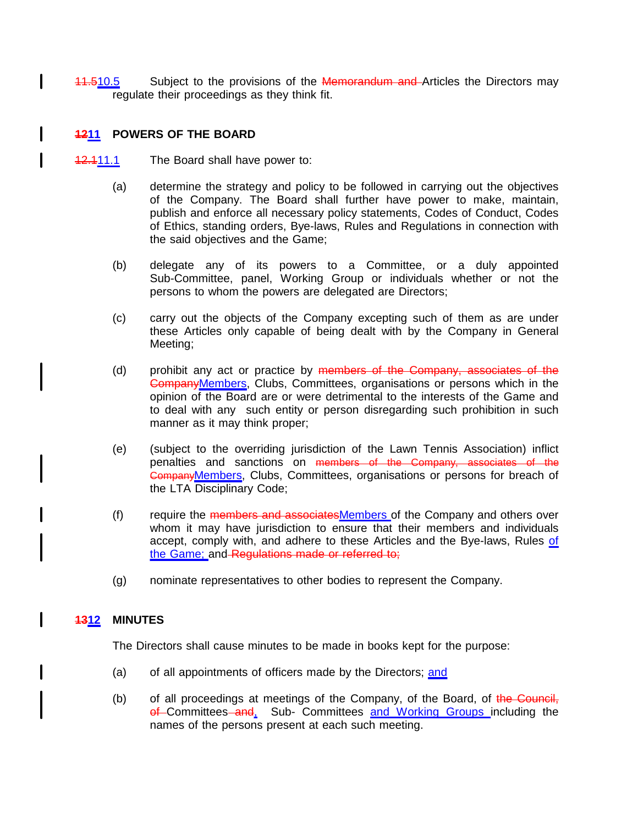11.510.5 Subject to the provisions of the Memorandum and Articles the Directors may regulate their proceedings as they think fit.

#### **1211 POWERS OF THE BOARD**

 $\mathbf{I}$ 

- 12.111.1 The Board shall have power to:
	- (a) determine the strategy and policy to be followed in carrying out the objectives of the Company. The Board shall further have power to make, maintain, publish and enforce all necessary policy statements, Codes of Conduct, Codes of Ethics, standing orders, Bye-laws, Rules and Regulations in connection with the said objectives and the Game;
	- (b) delegate any of its powers to a Committee, or a duly appointed Sub-Committee, panel, Working Group or individuals whether or not the persons to whom the powers are delegated are Directors;
	- (c) carry out the objects of the Company excepting such of them as are under these Articles only capable of being dealt with by the Company in General Meeting;
	- (d) prohibit any act or practice by members of the Company, associates of the CompanyMembers, Clubs, Committees, organisations or persons which in the opinion of the Board are or were detrimental to the interests of the Game and to deal with any such entity or person disregarding such prohibition in such manner as it may think proper;
	- (e) (subject to the overriding jurisdiction of the Lawn Tennis Association) inflict penalties and sanctions on members of the Company, associates of the CompanyMembers, Clubs, Committees, organisations or persons for breach of the LTA Disciplinary Code;
	- (f) require the members and associatesMembers of the Company and others over whom it may have jurisdiction to ensure that their members and individuals accept, comply with, and adhere to these Articles and the Bye-laws, Rules of the Game; and Regulations made or referred to;
	- (g) nominate representatives to other bodies to represent the Company.

#### **1312 MINUTES**

The Directors shall cause minutes to be made in books kept for the purpose:

- (a) of all appointments of officers made by the Directors; and
- (b) of all proceedings at meetings of the Company, of the Board, of the Council, of Committees and, Sub- Committees and Working Groups including the names of the persons present at each such meeting.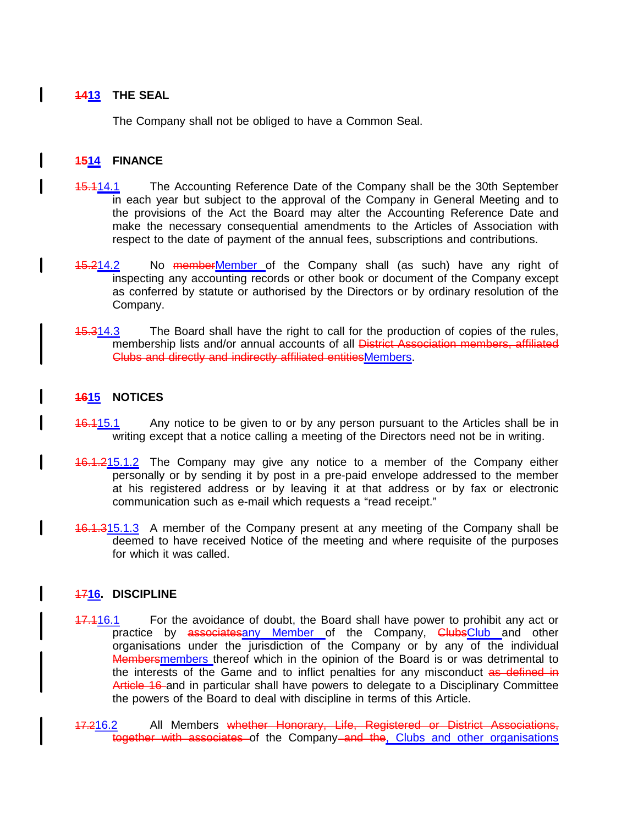## **1413 THE SEAL**

The Company shall not be obliged to have a Common Seal.

#### **1514 FINANCE**

I

I

I

- 15.114.1 The Accounting Reference Date of the Company shall be the 30th September in each year but subject to the approval of the Company in General Meeting and to the provisions of the Act the Board may alter the Accounting Reference Date and make the necessary consequential amendments to the Articles of Association with respect to the date of payment of the annual fees, subscriptions and contributions.
- 15.214.2 No memberMember of the Company shall (as such) have any right of inspecting any accounting records or other book or document of the Company except as conferred by statute or authorised by the Directors or by ordinary resolution of the Company.
- **15.314.3** The Board shall have the right to call for the production of copies of the rules, membership lists and/or annual accounts of all **District Association members, affiliated** Clubs and directly and indirectly affiliated entitiesMembers.

#### **1615 NOTICES**

- **16.115.1** Any notice to be given to or by any person pursuant to the Articles shall be in writing except that a notice calling a meeting of the Directors need not be in writing.
- 16.1.215.1.2 The Company may give any notice to a member of the Company either personally or by sending it by post in a pre-paid envelope addressed to the member at his registered address or by leaving it at that address or by fax or electronic communication such as e-mail which requests a "read receipt."
- 16.1.315.1.3 A member of the Company present at any meeting of the Company shall be deemed to have received Notice of the meeting and where requisite of the purposes for which it was called.

#### 17**16. DISCIPLINE**

- 17.116.1 For the avoidance of doubt, the Board shall have power to prohibit any act or practice by associatesany Member of the Company, ClubsClub and other organisations under the jurisdiction of the Company or by any of the individual Membersmembers thereof which in the opinion of the Board is or was detrimental to the interests of the Game and to inflict penalties for any misconduct as defined in Article 16 and in particular shall have powers to delegate to a Disciplinary Committee the powers of the Board to deal with discipline in terms of this Article.
- 17.216.2 All Members whether Honorary, Life, Registered or District Associations, together with associates of the Company and the, Clubs and other organisations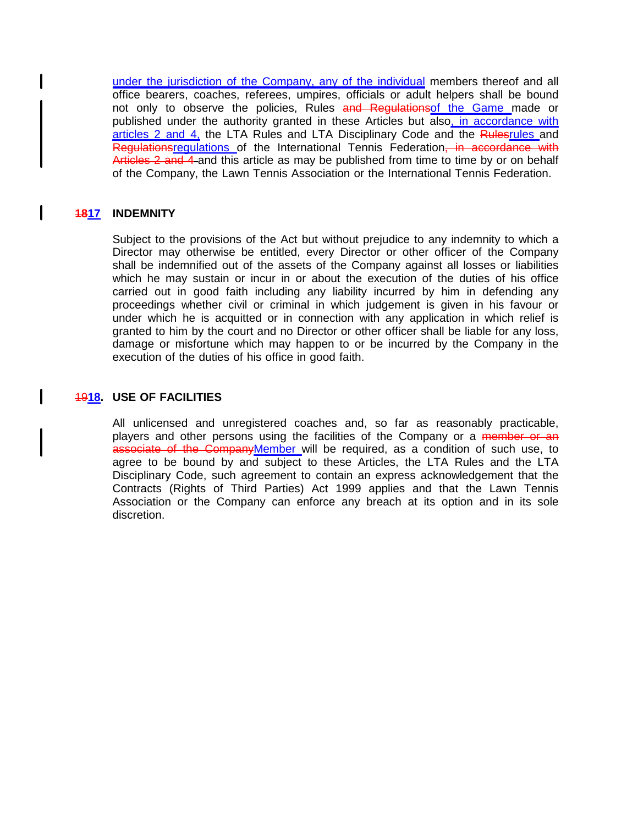under the jurisdiction of the Company, any of the individual members thereof and all office bearers, coaches, referees, umpires, officials or adult helpers shall be bound not only to observe the policies, Rules and Regulations of the Game made or published under the authority granted in these Articles but also, in accordance with articles 2 and 4, the LTA Rules and LTA Disciplinary Code and the Rulesrules and Regulationsregulations of the International Tennis Federation, in accordance with Articles 2 and 4 and this article as may be published from time to time by or on behalf of the Company, the Lawn Tennis Association or the International Tennis Federation.

#### **1817 INDEMNITY**

I

Subject to the provisions of the Act but without prejudice to any indemnity to which a Director may otherwise be entitled, every Director or other officer of the Company shall be indemnified out of the assets of the Company against all losses or liabilities which he may sustain or incur in or about the execution of the duties of his office carried out in good faith including any liability incurred by him in defending any proceedings whether civil or criminal in which judgement is given in his favour or under which he is acquitted or in connection with any application in which relief is granted to him by the court and no Director or other officer shall be liable for any loss, damage or misfortune which may happen to or be incurred by the Company in the execution of the duties of his office in good faith.

#### 19**18. USE OF FACILITIES**

All unlicensed and unregistered coaches and, so far as reasonably practicable, players and other persons using the facilities of the Company or a member or an associate of the CompanyMember will be required, as a condition of such use, to agree to be bound by and subject to these Articles, the LTA Rules and the LTA Disciplinary Code, such agreement to contain an express acknowledgement that the Contracts (Rights of Third Parties) Act 1999 applies and that the Lawn Tennis Association or the Company can enforce any breach at its option and in its sole discretion.